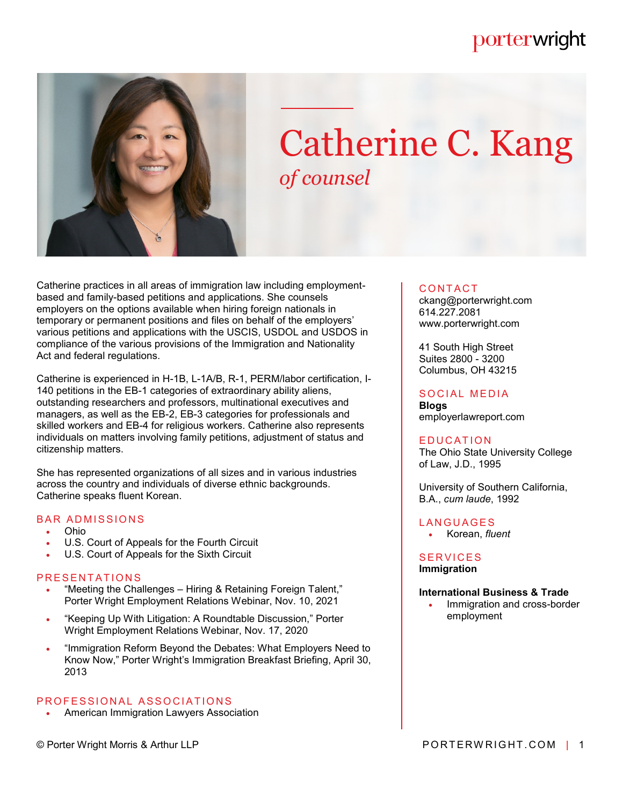## porterwright



# Catherine C. Kang *of counsel*

Catherine practices in all areas of immigration law including employmentbased and family-based petitions and applications. She counsels employers on the options available when hiring foreign nationals in temporary or permanent positions and files on behalf of the employers' various petitions and applications with the USCIS, USDOL and USDOS in compliance of the various provisions of the Immigration and Nationality Act and federal regulations.

Catherine is experienced in H-1B, L-1A/B, R-1, PERM/labor certification, I-140 petitions in the EB-1 categories of extraordinary ability aliens, outstanding researchers and professors, multinational executives and managers, as well as the EB-2, EB-3 categories for professionals and skilled workers and EB-4 for religious workers. Catherine also represents individuals on matters involving family petitions, adjustment of status and citizenship matters.

She has represented organizations of all sizes and in various industries across the country and individuals of diverse ethnic backgrounds. Catherine speaks fluent Korean.

#### **BAR ADMISSIONS**

- Ohio
- U.S. Court of Appeals for the Fourth Circuit
- U.S. Court of Appeals for the Sixth Circuit

#### PRESENTATIONS

- "Meeting the Challenges Hiring & Retaining Foreign Talent," Porter Wright Employment Relations Webinar, Nov. 10, 2021
- "Keeping Up With Litigation: A Roundtable Discussion," Porter Wright Employment Relations Webinar, Nov. 17, 2020
- . "Immigration Reform Beyond the Debates: What Employers Need to Know Now," Porter Wright's Immigration Breakfast Briefing, April 30, 2013

#### PROFESSIONAL ASSOCIATIONS

American Immigration Lawyers Association

#### **CONTACT**

ckang@porterwright.com 614.227.2081 www.porterwright.com

41 South High Street Suites 2800 - 3200 Columbus, OH 43215

#### SOCIAL MEDIA

**Blogs** employerlawreport.com

#### **EDUCATION**

The Ohio State University College of Law, J.D., 1995

University of Southern California, B.A., *cum laude*, 1992

**LANGUAGES** Korean, *fluent*

#### **SERVICES Immigration**

#### **International Business & Trade**

 Immigration and cross-border employment